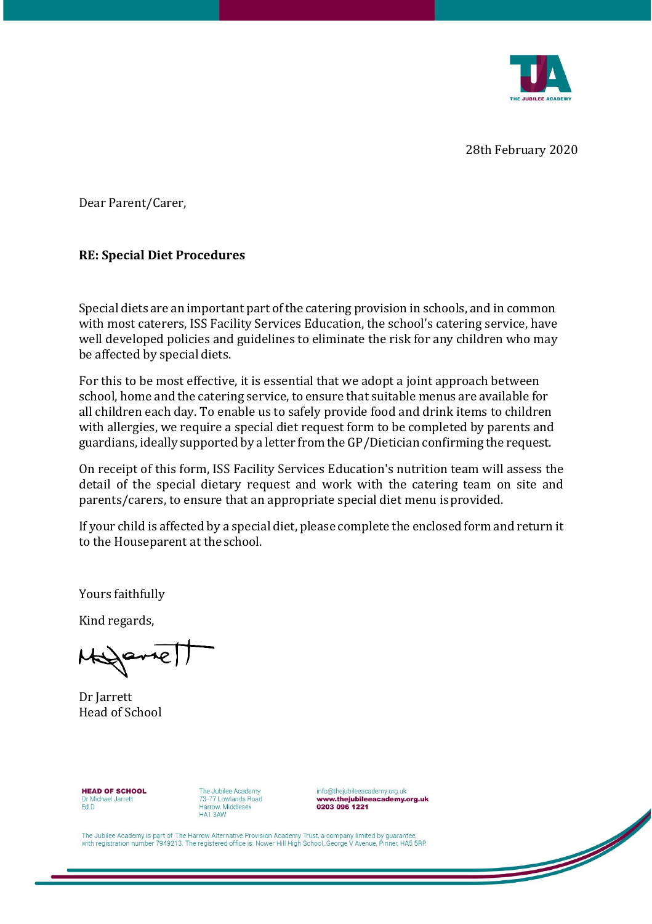

 $\overline{\mathscr{A}}$ 

28th February 2020

Dear Parent/Carer,

## **RE: Special Diet Procedures**

Special diets are an important part of the catering provision in schools, and in common with most caterers, ISS Facility Services Education, the school's catering service, have well developed policies and guidelines to eliminate the risk for any children who may be affected by special diets.

For this to be most effective, it is essential that we adopt a joint approach between school, home and the catering service, to ensure that suitable menus are available for all children each day. To enable us to safely provide food and drink items to children with allergies, we require a special diet request form to be completed by parents and guardians, ideally supported by a letter from the GP/Dietician confirming the request.

On receipt of this form, ISS Facility Services Education's nutrition team will assess the detail of the special dietary request and work with the catering team on site and parents/carers, to ensure that an appropriate special diet menu isprovided.

If your child is affected by a special diet, please complete the enclosed form and return it to the Houseparent at theschool.

Yours faithfully

Kind regards,

Helparrell

Dr Jarrett Head of School

**HEAD OF SCHOOL** Dr Michael Jarrett Ed.D

The Jubilee Academy 73-77 Lowlands Road Harrow. Middlesex HA1 3AW

info@thejubileeacademy.org.uk www.thejubileeacademy.org.uk 0203 096 1221

The Jubilee Academy is part of The Harrow Alternative Provision Academy Trust, a company limited by guarantee with registration number 7949213. The registered office is: Nower Hill High School, George V Avenue, Pinner, HA5 5RP.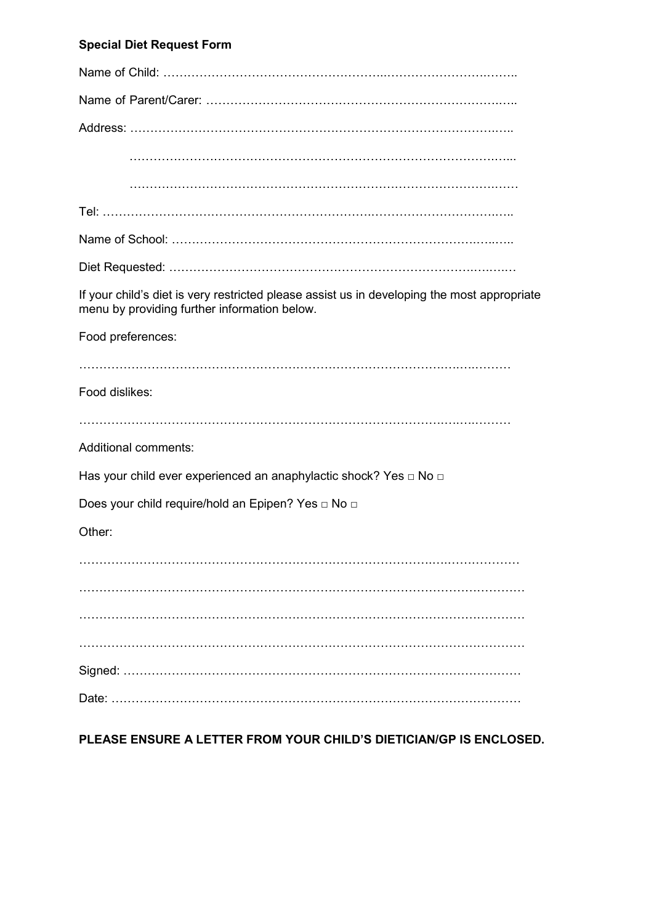## **Special Diet Request Form**

| If your child's diet is very restricted please assist us in developing the most appropriate<br>menu by providing further information below. |
|---------------------------------------------------------------------------------------------------------------------------------------------|
| Food preferences:                                                                                                                           |
|                                                                                                                                             |
| Food dislikes:                                                                                                                              |
|                                                                                                                                             |
| <b>Additional comments:</b>                                                                                                                 |
| Has your child ever experienced an anaphylactic shock? Yes □ No □                                                                           |
| Does your child require/hold an Epipen? Yes □ No □                                                                                          |
| Other:                                                                                                                                      |
|                                                                                                                                             |
|                                                                                                                                             |
|                                                                                                                                             |
|                                                                                                                                             |
|                                                                                                                                             |
|                                                                                                                                             |

## **PLEASE ENSURE A LETTER FROM YOUR CHILD'S DIETICIAN/GP IS ENCLOSED.**